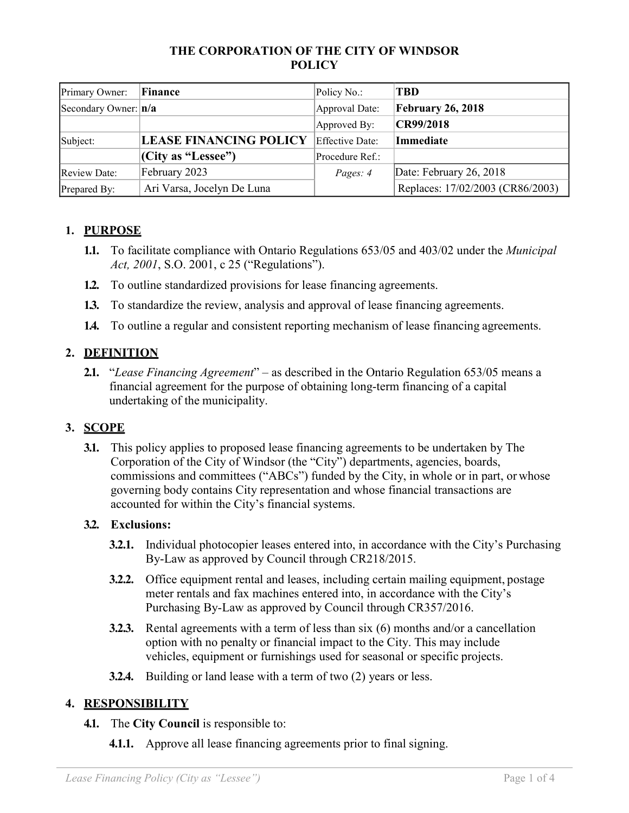### **THE CORPORATION OF THE CITY OF WINDSOR POLICY**

| Primary Owner:           | Finance                       | Policy No.:     | <b>TBD</b>                       |
|--------------------------|-------------------------------|-----------------|----------------------------------|
| Secondary Owner: $ n/a $ |                               | Approval Date:  | February 26, 2018                |
|                          |                               | Approved By:    | CR99/2018                        |
| Subject:                 | <b>LEASE FINANCING POLICY</b> | Effective Date: | Immediate                        |
|                          | (City as "Lesse")             | Procedure Ref.: |                                  |
| <b>Review Date:</b>      | February 2023                 | Pages: 4        | Date: February 26, 2018          |
| Prepared By:             | Ari Varsa, Jocelyn De Luna    |                 | Replaces: 17/02/2003 (CR86/2003) |

# **1. PURPOSE**

- **1.1.** To facilitate compliance with Ontario Regulations 653/05 and 403/02 under the *Municipal Act, 2001*, S.O. 2001, c 25 ("Regulations").
- **1.2.** To outline standardized provisions for lease financing agreements.
- **1.3.** To standardize the review, analysis and approval of lease financing agreements.
- **1.4.** To outline a regular and consistent reporting mechanism of lease financing agreements.

# **2. DEFINITION**

**2.1.** "*Lease Financing Agreement*" – as described in the Ontario Regulation 653/05 means a financial agreement for the purpose of obtaining long-term financing of a capital undertaking of the municipality.

### **3. SCOPE**

**3.1.** This policy applies to proposed lease financing agreements to be undertaken by The Corporation of the City of Windsor (the "City") departments, agencies, boards, commissions and committees ("ABCs") funded by the City, in whole or in part, or whose governing body contains City representation and whose financial transactions are accounted for within the City's financial systems.

#### **3.2. Exclusions:**

- **3.2.1.** Individual photocopier leases entered into, in accordance with the City's Purchasing By-Law as approved by Council through CR218/2015.
- **3.2.2.** Office equipment rental and leases, including certain mailing equipment, postage meter rentals and fax machines entered into, in accordance with the City's Purchasing By-Law as approved by Council through CR357/2016.
- **3.2.3.** Rental agreements with a term of less than six (6) months and/or a cancellation option with no penalty or financial impact to the City. This may include vehicles, equipment or furnishings used for seasonal or specific projects.
- **3.2.4.** Building or land lease with a term of two (2) years or less.

### **4. RESPONSIBILITY**

- **4.1.** The **City Council** is responsible to:
	- **4.1.1.** Approve all lease financing agreements prior to final signing.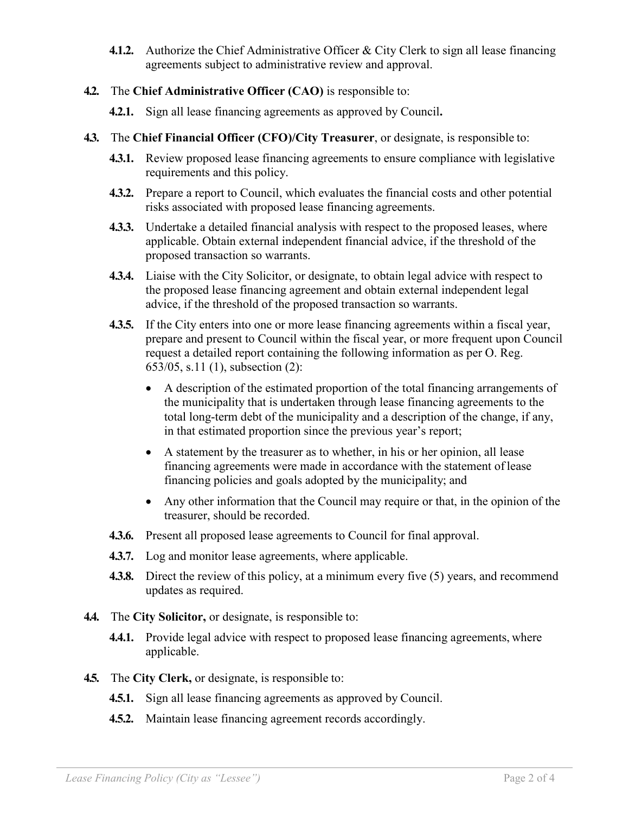- **4.1.2.** Authorize the Chief Administrative Officer & City Clerk to sign all lease financing agreements subject to administrative review and approval.
- **4.2.** The **Chief Administrative Officer (CAO)** is responsible to:
	- **4.2.1.** Sign all lease financing agreements as approved by Council**.**
- **4.3.** The **Chief Financial Officer (CFO)/City Treasurer**, or designate, is responsible to:
	- **4.3.1.** Review proposed lease financing agreements to ensure compliance with legislative requirements and this policy.
	- **4.3.2.** Prepare a report to Council, which evaluates the financial costs and other potential risks associated with proposed lease financing agreements.
	- **4.3.3.** Undertake a detailed financial analysis with respect to the proposed leases, where applicable. Obtain external independent financial advice, if the threshold of the proposed transaction so warrants.
	- **4.3.4.** Liaise with the City Solicitor, or designate, to obtain legal advice with respect to the proposed lease financing agreement and obtain external independent legal advice, if the threshold of the proposed transaction so warrants.
	- **4.3.5.** If the City enters into one or more lease financing agreements within a fiscal year, prepare and present to Council within the fiscal year, or more frequent upon Council request a detailed report containing the following information as per O. Reg. 653/05, s.11 (1), subsection (2):
		- A description of the estimated proportion of the total financing arrangements of the municipality that is undertaken through lease financing agreements to the total long-term debt of the municipality and a description of the change, if any, in that estimated proportion since the previous year's report;
		- A statement by the treasurer as to whether, in his or her opinion, all lease financing agreements were made in accordance with the statement of lease financing policies and goals adopted by the municipality; and
		- Any other information that the Council may require or that, in the opinion of the treasurer, should be recorded.
	- **4.3.6.** Present all proposed lease agreements to Council for final approval.
	- **4.3.7.** Log and monitor lease agreements, where applicable.
	- **4.3.8.** Direct the review of this policy, at a minimum every five (5) years, and recommend updates as required.
- **4.4.** The **City Solicitor,** or designate, is responsible to:
	- **4.4.1.** Provide legal advice with respect to proposed lease financing agreements, where applicable.
- **4.5.** The **City Clerk,** or designate, is responsible to:
	- **4.5.1.** Sign all lease financing agreements as approved by Council.
	- **4.5.2.** Maintain lease financing agreement records accordingly.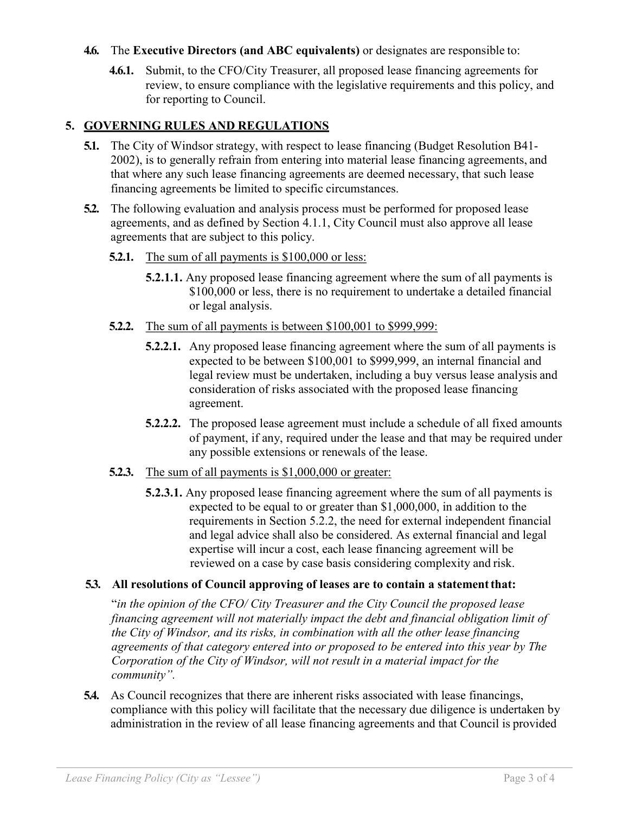#### **4.6.** The **Executive Directors (and ABC equivalents)** or designates are responsible to:

**4.6.1.** Submit, to the CFO/City Treasurer, all proposed lease financing agreements for review, to ensure compliance with the legislative requirements and this policy, and for reporting to Council.

## **5. GOVERNING RULES AND REGULATIONS**

- **5.1.** The City of Windsor strategy, with respect to lease financing (Budget Resolution B41- 2002), is to generally refrain from entering into material lease financing agreements, and that where any such lease financing agreements are deemed necessary, that such lease financing agreements be limited to specific circumstances.
- **5.2.** The following evaluation and analysis process must be performed for proposed lease agreements, and as defined by Section 4.1.1, City Council must also approve all lease agreements that are subject to this policy.
	- **5.2.1.** The sum of all payments is \$100,000 or less:
		- **5.2.1.1.** Any proposed lease financing agreement where the sum of all payments is \$100,000 or less, there is no requirement to undertake a detailed financial or legal analysis.
	- **5.2.2.** The sum of all payments is between \$100,001 to \$999,999:
		- **5.2.2.1.** Any proposed lease financing agreement where the sum of all payments is expected to be between \$100,001 to \$999,999, an internal financial and legal review must be undertaken, including a buy versus lease analysis and consideration of risks associated with the proposed lease financing agreement.
		- **5.2.2.2.** The proposed lease agreement must include a schedule of all fixed amounts of payment, if any, required under the lease and that may be required under any possible extensions or renewals of the lease.
	- **5.2.3.** The sum of all payments is \$1,000,000 or greater:
		- **5.2.3.1.** Any proposed lease financing agreement where the sum of all payments is expected to be equal to or greater than \$1,000,000, in addition to the requirements in Section 5.2.2, the need for external independent financial and legal advice shall also be considered. As external financial and legal expertise will incur a cost, each lease financing agreement will be reviewed on a case by case basis considering complexity and risk.

# **5.3. All resolutions of Council approving of leases are to contain a statementthat:**

"*in the opinion of the CFO/ City Treasurer and the City Council the proposed lease financing agreement will not materially impact the debt and financial obligation limit of the City of Windsor, and its risks, in combination with all the other lease financing agreements of that category entered into or proposed to be entered into this year by The Corporation of the City of Windsor, will not result in a material impact for the community".*

**5.4.** As Council recognizes that there are inherent risks associated with lease financings, compliance with this policy will facilitate that the necessary due diligence is undertaken by administration in the review of all lease financing agreements and that Council is provided